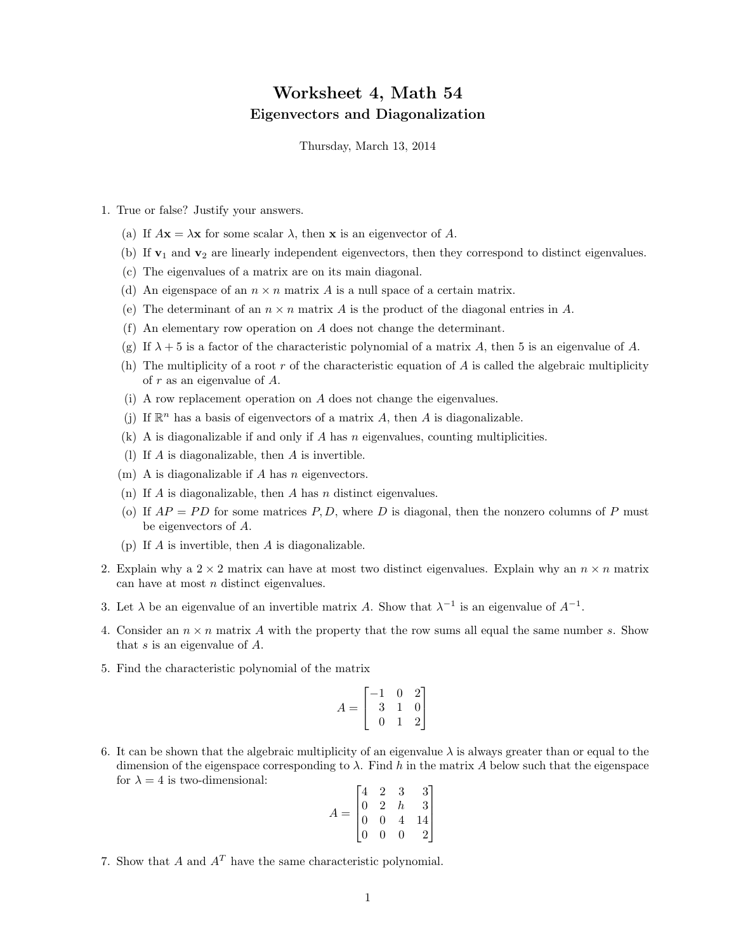## Worksheet 4, Math 54 Eigenvectors and Diagonalization

Thursday, March 13, 2014

- 1. True or false? Justify your answers.
	- (a) If  $A\mathbf{x} = \lambda \mathbf{x}$  for some scalar  $\lambda$ , then **x** is an eigenvector of A.
	- (b) If  $\mathbf{v}_1$  and  $\mathbf{v}_2$  are linearly independent eigenvectors, then they correspond to distinct eigenvalues.
	- (c) The eigenvalues of a matrix are on its main diagonal.
	- (d) An eigenspace of an  $n \times n$  matrix A is a null space of a certain matrix.
	- (e) The determinant of an  $n \times n$  matrix A is the product of the diagonal entries in A.
	- (f) An elementary row operation on A does not change the determinant.
	- (g) If  $\lambda + 5$  is a factor of the characteristic polynomial of a matrix A, then 5 is an eigenvalue of A.
	- (h) The multiplicity of a root r of the characteristic equation of  $A$  is called the algebraic multiplicity of r as an eigenvalue of A.
	- (i) A row replacement operation on A does not change the eigenvalues.
	- (j) If  $\mathbb{R}^n$  has a basis of eigenvectors of a matrix A, then A is diagonalizable.
	- (k) A is diagonalizable if and only if A has  $n$  eigenvalues, counting multiplicities.
	- (1) If  $A$  is diagonalizable, then  $A$  is invertible.
	- $(m)$  A is diagonalizable if A has n eigenvectors.
	- (n) If A is diagonalizable, then A has n distinct eigenvalues.
	- (o) If  $AP = PD$  for some matrices P, D, where D is diagonal, then the nonzero columns of P must be eigenvectors of A.
	- (p) If A is invertible, then A is diagonalizable.
- 2. Explain why a  $2 \times 2$  matrix can have at most two distinct eigenvalues. Explain why an  $n \times n$  matrix can have at most n distinct eigenvalues.
- 3. Let  $\lambda$  be an eigenvalue of an invertible matrix A. Show that  $\lambda^{-1}$  is an eigenvalue of  $A^{-1}$ .
- 4. Consider an  $n \times n$  matrix A with the property that the row sums all equal the same number s. Show that s is an eigenvalue of A.
- 5. Find the characteristic polynomial of the matrix

$$
A = \begin{bmatrix} -1 & 0 & 2 \\ 3 & 1 & 0 \\ 0 & 1 & 2 \end{bmatrix}
$$

6. It can be shown that the algebraic multiplicity of an eigenvalue  $\lambda$  is always greater than or equal to the dimension of the eigenspace corresponding to  $\lambda$ . Find h in the matrix A below such that the eigenspace for  $\lambda = 4$  is two-dimensional:

$$
A = \begin{bmatrix} 4 & 2 & 3 & 3 \\ 0 & 2 & h & 3 \\ 0 & 0 & 4 & 14 \\ 0 & 0 & 0 & 2 \end{bmatrix}
$$

7. Show that A and  $A<sup>T</sup>$  have the same characteristic polynomial.